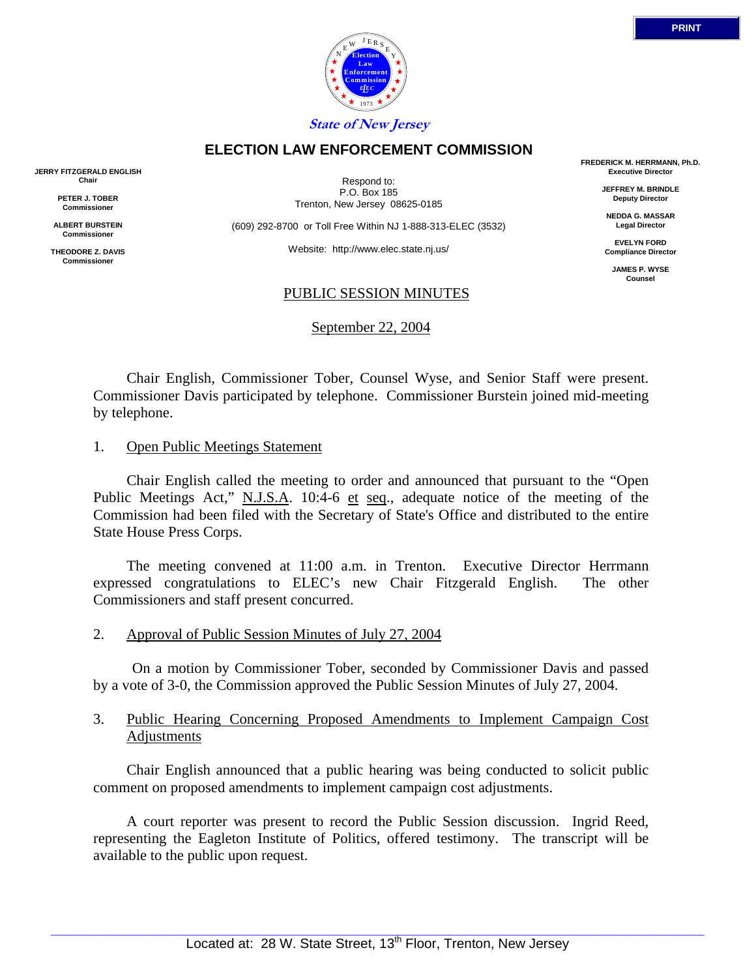



Respond to: P.O. Box 185 Trenton, New Jersey 08625-0185

(609) 292-8700 or Toll Free Within NJ 1-888-313-ELEC (3532)

Website: http://www.elec.state.nj.us/

#### PUBLIC SESSION MINUTES

September 22, 2004

 Chair English, Commissioner Tober, Counsel Wyse, and Senior Staff were present. Commissioner Davis participated by telephone. Commissioner Burstein joined mid-meeting by telephone.

#### 1. Open Public Meetings Statement

 Chair English called the meeting to order and announced that pursuant to the "Open Public Meetings Act," N.J.S.A. 10:4-6 et seq., adequate notice of the meeting of the Commission had been filed with the Secretary of State's Office and distributed to the entire State House Press Corps.

 The meeting convened at 11:00 a.m. in Trenton. Executive Director Herrmann expressed congratulations to ELEC's new Chair Fitzgerald English. The other Commissioners and staff present concurred.

2. Approval of Public Session Minutes of July 27, 2004

 On a motion by Commissioner Tober, seconded by Commissioner Davis and passed by a vote of 3-0, the Commission approved the Public Session Minutes of July 27, 2004.

## 3. Public Hearing Concerning Proposed Amendments to Implement Campaign Cost Adjustments

 Chair English announced that a public hearing was being conducted to solicit public comment on proposed amendments to implement campaign cost adjustments.

 A court reporter was present to record the Public Session discussion. Ingrid Reed, representing the Eagleton Institute of Politics, offered testimony. The transcript will be available to the public upon request.

**Commission** *L E EC* 1973 **State of New Jersey ELECTION LAW ENFORCEMENT COMMISSION**

**JERRY FITZGERALD ENGLISH Chair**

> **PETER J. TOBER Commissioner**

**ALBERT BURSTEIN Commissioner**

**THEODORE Z. DAVIS Commissione** 

**FREDERICK M. HERRMANN, Ph.D. Executive Director**

> **JEFFREY M. BRINDLE Deputy Director**

**NEDDA G. MASSAR Legal Director**

**EVELYN FORD Compliance Director**

> **JAMES P. WYSE Counsel**

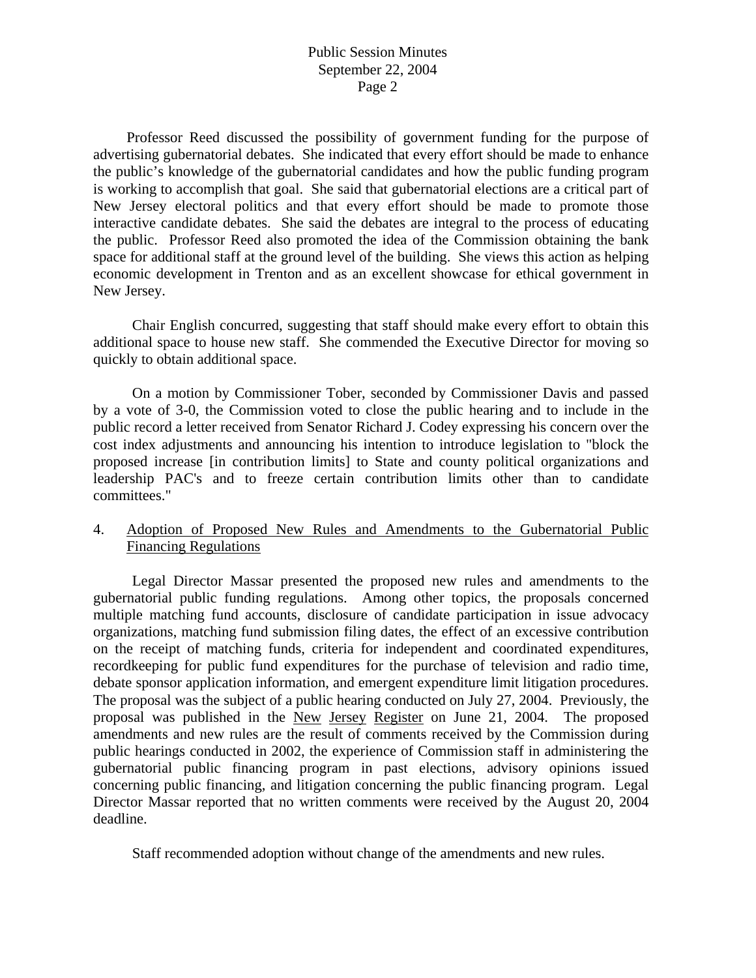Professor Reed discussed the possibility of government funding for the purpose of advertising gubernatorial debates. She indicated that every effort should be made to enhance the public's knowledge of the gubernatorial candidates and how the public funding program is working to accomplish that goal. She said that gubernatorial elections are a critical part of New Jersey electoral politics and that every effort should be made to promote those interactive candidate debates. She said the debates are integral to the process of educating the public. Professor Reed also promoted the idea of the Commission obtaining the bank space for additional staff at the ground level of the building. She views this action as helping economic development in Trenton and as an excellent showcase for ethical government in New Jersey.

 Chair English concurred, suggesting that staff should make every effort to obtain this additional space to house new staff. She commended the Executive Director for moving so quickly to obtain additional space.

 On a motion by Commissioner Tober, seconded by Commissioner Davis and passed by a vote of 3-0, the Commission voted to close the public hearing and to include in the public record a letter received from Senator Richard J. Codey expressing his concern over the cost index adjustments and announcing his intention to introduce legislation to "block the proposed increase [in contribution limits] to State and county political organizations and leadership PAC's and to freeze certain contribution limits other than to candidate committees."

## 4. Adoption of Proposed New Rules and Amendments to the Gubernatorial Public Financing Regulations

 Legal Director Massar presented the proposed new rules and amendments to the gubernatorial public funding regulations. Among other topics, the proposals concerned multiple matching fund accounts, disclosure of candidate participation in issue advocacy organizations, matching fund submission filing dates, the effect of an excessive contribution on the receipt of matching funds, criteria for independent and coordinated expenditures, recordkeeping for public fund expenditures for the purchase of television and radio time, debate sponsor application information, and emergent expenditure limit litigation procedures. The proposal was the subject of a public hearing conducted on July 27, 2004. Previously, the proposal was published in the New Jersey Register on June 21, 2004. The proposed amendments and new rules are the result of comments received by the Commission during public hearings conducted in 2002, the experience of Commission staff in administering the gubernatorial public financing program in past elections, advisory opinions issued concerning public financing, and litigation concerning the public financing program. Legal Director Massar reported that no written comments were received by the August 20, 2004 deadline.

Staff recommended adoption without change of the amendments and new rules.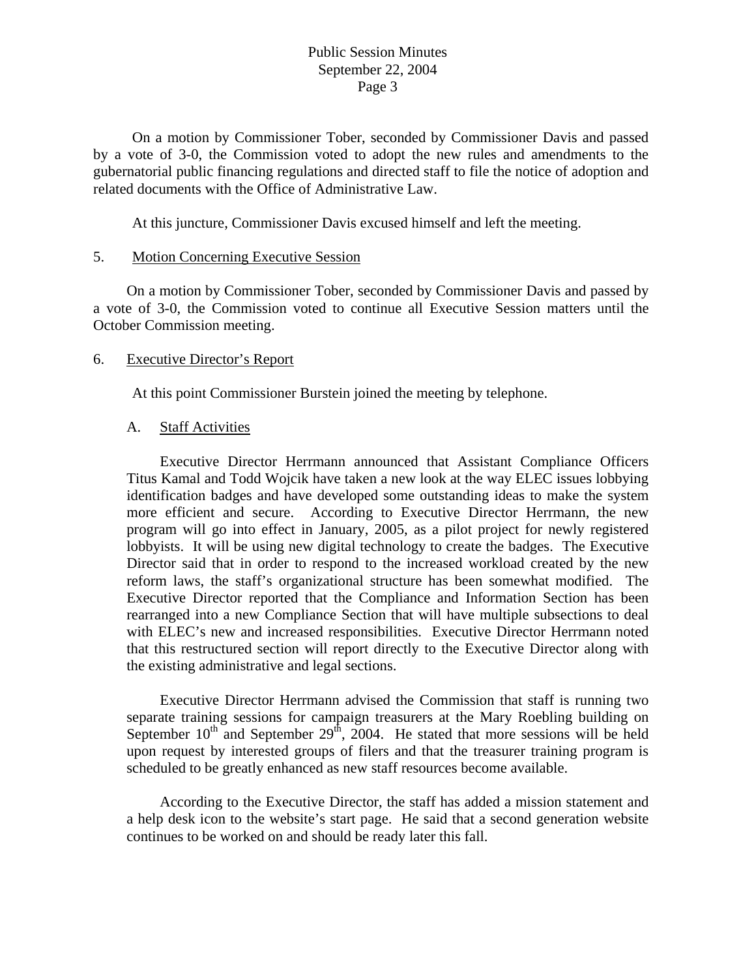On a motion by Commissioner Tober, seconded by Commissioner Davis and passed by a vote of 3-0, the Commission voted to adopt the new rules and amendments to the gubernatorial public financing regulations and directed staff to file the notice of adoption and related documents with the Office of Administrative Law.

At this juncture, Commissioner Davis excused himself and left the meeting.

### 5. Motion Concerning Executive Session

 On a motion by Commissioner Tober, seconded by Commissioner Davis and passed by a vote of 3-0, the Commission voted to continue all Executive Session matters until the October Commission meeting.

### 6. Executive Director's Report

At this point Commissioner Burstein joined the meeting by telephone.

### A. Staff Activities

 Executive Director Herrmann announced that Assistant Compliance Officers Titus Kamal and Todd Wojcik have taken a new look at the way ELEC issues lobbying identification badges and have developed some outstanding ideas to make the system more efficient and secure. According to Executive Director Herrmann, the new program will go into effect in January, 2005, as a pilot project for newly registered lobbyists. It will be using new digital technology to create the badges. The Executive Director said that in order to respond to the increased workload created by the new reform laws, the staff's organizational structure has been somewhat modified. The Executive Director reported that the Compliance and Information Section has been rearranged into a new Compliance Section that will have multiple subsections to deal with ELEC's new and increased responsibilities. Executive Director Herrmann noted that this restructured section will report directly to the Executive Director along with the existing administrative and legal sections.

 Executive Director Herrmann advised the Commission that staff is running two separate training sessions for campaign treasurers at the Mary Roebling building on September  $10^{th}$  and September  $29^{th}$ , 2004. He stated that more sessions will be held upon request by interested groups of filers and that the treasurer training program is scheduled to be greatly enhanced as new staff resources become available.

 According to the Executive Director, the staff has added a mission statement and a help desk icon to the website's start page. He said that a second generation website continues to be worked on and should be ready later this fall.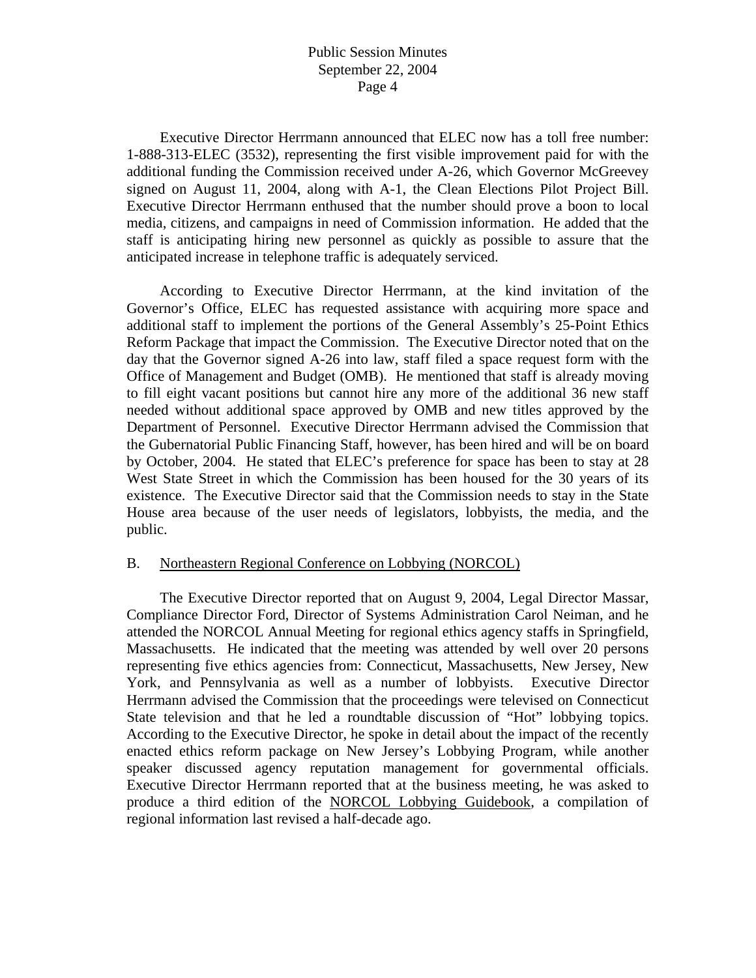Executive Director Herrmann announced that ELEC now has a toll free number: 1-888-313-ELEC (3532), representing the first visible improvement paid for with the additional funding the Commission received under A-26, which Governor McGreevey signed on August 11, 2004, along with A-1, the Clean Elections Pilot Project Bill. Executive Director Herrmann enthused that the number should prove a boon to local media, citizens, and campaigns in need of Commission information. He added that the staff is anticipating hiring new personnel as quickly as possible to assure that the anticipated increase in telephone traffic is adequately serviced.

 According to Executive Director Herrmann, at the kind invitation of the Governor's Office, ELEC has requested assistance with acquiring more space and additional staff to implement the portions of the General Assembly's 25-Point Ethics Reform Package that impact the Commission. The Executive Director noted that on the day that the Governor signed A-26 into law, staff filed a space request form with the Office of Management and Budget (OMB). He mentioned that staff is already moving to fill eight vacant positions but cannot hire any more of the additional 36 new staff needed without additional space approved by OMB and new titles approved by the Department of Personnel. Executive Director Herrmann advised the Commission that the Gubernatorial Public Financing Staff, however, has been hired and will be on board by October, 2004. He stated that ELEC's preference for space has been to stay at 28 West State Street in which the Commission has been housed for the 30 years of its existence. The Executive Director said that the Commission needs to stay in the State House area because of the user needs of legislators, lobbyists, the media, and the public.

### B. Northeastern Regional Conference on Lobbying (NORCOL)

 The Executive Director reported that on August 9, 2004, Legal Director Massar, Compliance Director Ford, Director of Systems Administration Carol Neiman, and he attended the NORCOL Annual Meeting for regional ethics agency staffs in Springfield, Massachusetts. He indicated that the meeting was attended by well over 20 persons representing five ethics agencies from: Connecticut, Massachusetts, New Jersey, New York, and Pennsylvania as well as a number of lobbyists. Executive Director Herrmann advised the Commission that the proceedings were televised on Connecticut State television and that he led a roundtable discussion of "Hot" lobbying topics. According to the Executive Director, he spoke in detail about the impact of the recently enacted ethics reform package on New Jersey's Lobbying Program, while another speaker discussed agency reputation management for governmental officials. Executive Director Herrmann reported that at the business meeting, he was asked to produce a third edition of the NORCOL Lobbying Guidebook, a compilation of regional information last revised a half-decade ago.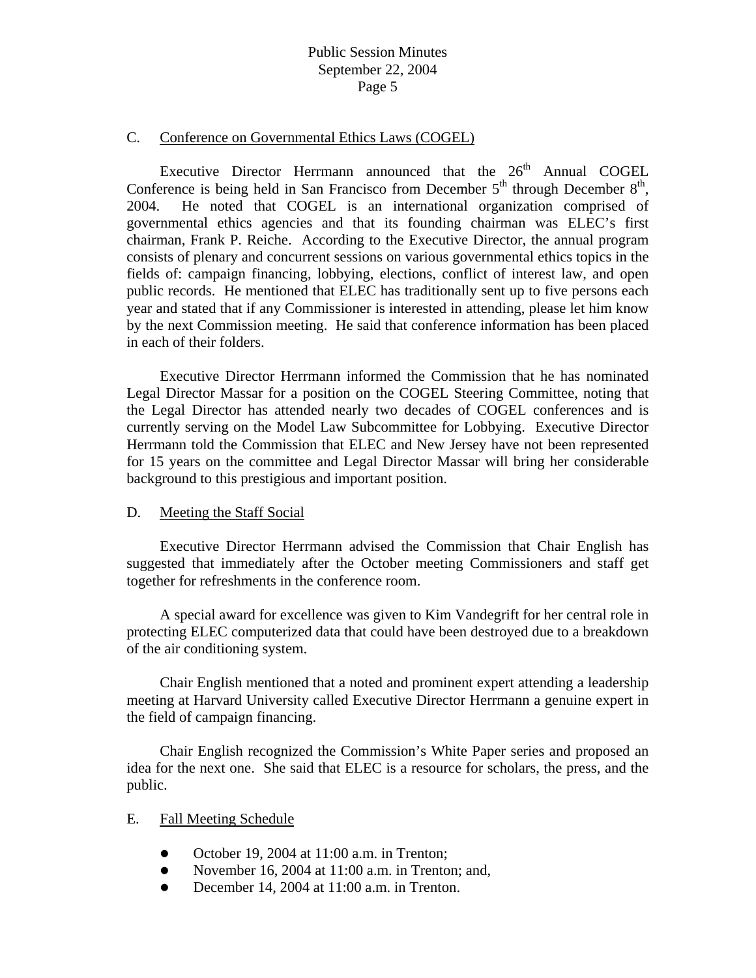#### C. Conference on Governmental Ethics Laws (COGEL)

Executive Director Herrmann announced that the  $26<sup>th</sup>$  Annual COGEL Conference is being held in San Francisco from December  $5<sup>th</sup>$  through December  $8<sup>th</sup>$ , 2004. He noted that COGEL is an international organization comprised of governmental ethics agencies and that its founding chairman was ELEC's first chairman, Frank P. Reiche. According to the Executive Director, the annual program consists of plenary and concurrent sessions on various governmental ethics topics in the fields of: campaign financing, lobbying, elections, conflict of interest law, and open public records. He mentioned that ELEC has traditionally sent up to five persons each year and stated that if any Commissioner is interested in attending, please let him know by the next Commission meeting. He said that conference information has been placed in each of their folders.

 Executive Director Herrmann informed the Commission that he has nominated Legal Director Massar for a position on the COGEL Steering Committee, noting that the Legal Director has attended nearly two decades of COGEL conferences and is currently serving on the Model Law Subcommittee for Lobbying. Executive Director Herrmann told the Commission that ELEC and New Jersey have not been represented for 15 years on the committee and Legal Director Massar will bring her considerable background to this prestigious and important position.

#### D. Meeting the Staff Social

 Executive Director Herrmann advised the Commission that Chair English has suggested that immediately after the October meeting Commissioners and staff get together for refreshments in the conference room.

 A special award for excellence was given to Kim Vandegrift for her central role in protecting ELEC computerized data that could have been destroyed due to a breakdown of the air conditioning system.

 Chair English mentioned that a noted and prominent expert attending a leadership meeting at Harvard University called Executive Director Herrmann a genuine expert in the field of campaign financing.

 Chair English recognized the Commission's White Paper series and proposed an idea for the next one. She said that ELEC is a resource for scholars, the press, and the public.

#### E. Fall Meeting Schedule

- $\bullet$  October 19, 2004 at 11:00 a.m. in Trenton;
- November 16, 2004 at  $11:00$  a.m. in Trenton; and,
- $\bullet$  December 14, 2004 at 11:00 a.m. in Trenton.